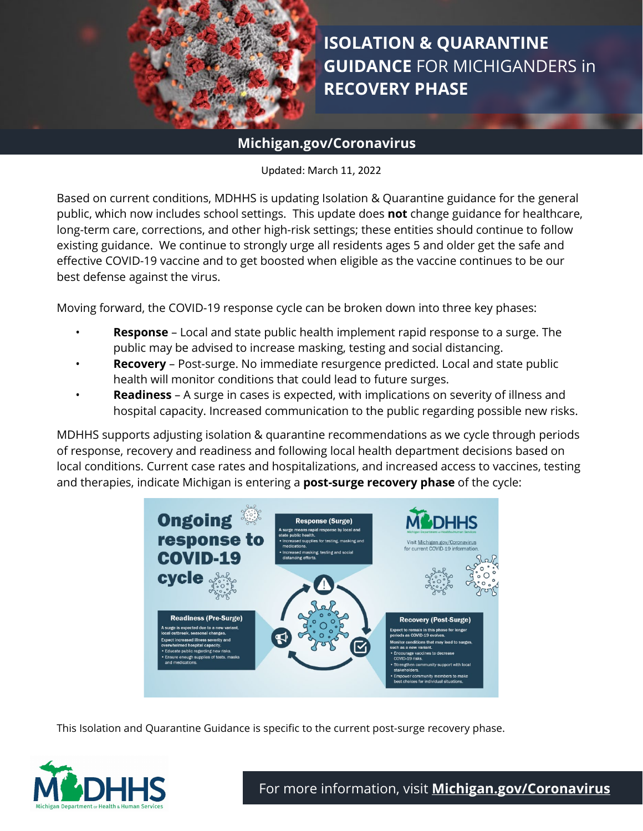

**ISOLATION & QUARANTINE GUIDANCE** FOR MICHIGANDERS in **RECOVERY PHASE**

# **Michigan.gov/Coronavirus**

Updated: March 11, 2022

Based on current conditions, MDHHS is updating Isolation & Quarantine guidance for the general public, which now includes school settings. This update does **not** change guidance for healthcare, long-term care, corrections, and other high-risk settings; these entities should continue to follow existing guidance. We continue to strongly urge all residents ages 5 and older get the safe and effective COVID-19 vaccine and to get boosted when eligible as the vaccine continues to be our best defense against the virus.

Moving forward, the COVID-19 response cycle can be broken down into three key phases:

- **Response** Local and state public health implement rapid response to a surge. The public may be advised to increase masking, testing and social distancing.
- **Recovery** Post-surge. No immediate resurgence predicted. Local and state public health will monitor conditions that could lead to future surges.
- **Readiness** A surge in cases is expected, with implications on severity of illness and hospital capacity. Increased communication to the public regarding possible new risks.

MDHHS supports adjusting isolation & quarantine recommendations as we cycle through periods of response, recovery and readiness and following local health department decisions based on local conditions. Current case rates and hospitalizations, and increased access to vaccines, testing and therapies, indicate Michigan is entering a **post-surge recovery phase** of the cycle:



This Isolation and Quarantine Guidance is specific to the current post-surge recovery phase.

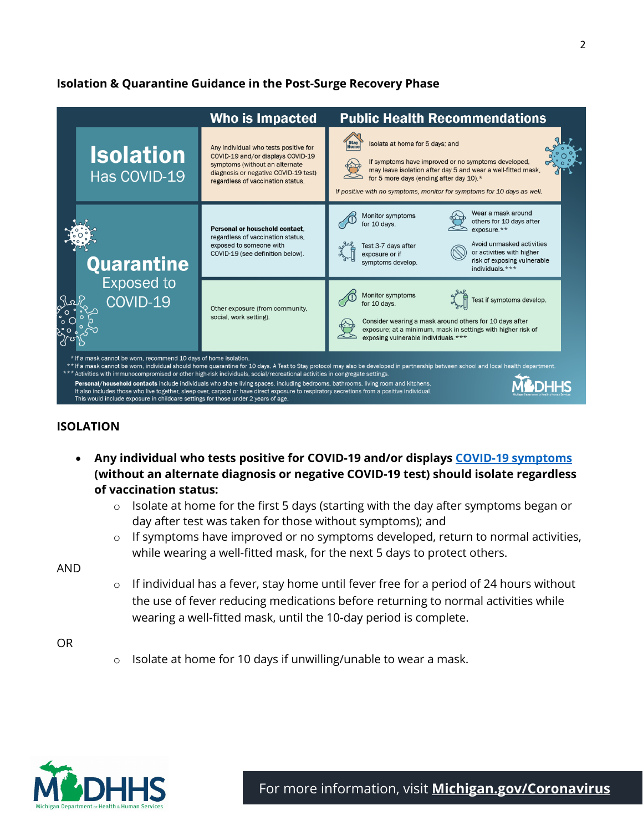## **Isolation & Quarantine Guidance in the Post-Surge Recovery Phase**

|  |                                                                                                                                                       | Who is Impacted                                                                                                                                                                                                                                                                                                                                                                                                  | <b>Public Health Recommendations</b>                                                                                                                                                                                                                                          |
|--|-------------------------------------------------------------------------------------------------------------------------------------------------------|------------------------------------------------------------------------------------------------------------------------------------------------------------------------------------------------------------------------------------------------------------------------------------------------------------------------------------------------------------------------------------------------------------------|-------------------------------------------------------------------------------------------------------------------------------------------------------------------------------------------------------------------------------------------------------------------------------|
|  | <b>Isolation</b><br>Has COVID-19                                                                                                                      | Any individual who tests positive for<br>COVID-19 and/or displays COVID-19<br>symptoms (without an alternate<br>diagnosis or negative COVID-19 test)<br>regardless of vaccination status.                                                                                                                                                                                                                        | Isolate at home for 5 days; and<br>If symptoms have improved or no symptoms developed,<br>may leave isolation after day 5 and wear a well-fitted mask,<br>for 5 more days (ending after day 10).*<br>If positive with no symptoms, monitor for symptoms for 10 days as well.  |
|  | Quarantine<br><b>Exposed to</b><br>COVID-19                                                                                                           | Personal or household contact.<br>regardless of vaccination status.<br>exposed to someone with<br>COVID-19 (see definition below).                                                                                                                                                                                                                                                                               | Wear a mask around<br>Monitor symptoms<br>others for 10 days after<br>for 10 days.<br>$exposure.**$<br>Avoid unmasked activities<br>Test 3-7 days after<br>or activities with higher<br>exposure or if<br>risk of exposing vulnerable<br>symptoms develop.<br>individuals.*** |
|  |                                                                                                                                                       | Other exposure (from community,<br>social, work setting).                                                                                                                                                                                                                                                                                                                                                        | Monitor symptoms<br>Test if symptoms develop.<br>for 10 days.<br>Consider wearing a mask around others for 10 days after<br>exposure; at a minimum, mask in settings with higher risk of<br>exposing vulnerable individuals.***                                               |
|  | * If a mask cannot be worn, recommend 10 days of home isolation.<br>This would include exposure in childcare settings for those under 2 years of age. | *** Activities with immunocompromised or other high-risk individuals, social/recreational activities in congregate settings.<br>Personal/household contacts include individuals who share living spaces, including bedrooms, bathrooms, living room and kitchens.<br>It also includes those who live together, sleep over, carpool or have direct exposure to respiratory secretions from a positive individual. | ** If a mask cannot be worn, individual should home quarantine for 10 days. A Test to Stay protocol may also be developed in partnership between school and local health department.                                                                                          |

#### **ISOLATION**

- **Any individual who tests positive for COVID-19 and/or displays [COVID-19 symptoms](https://www.cdc.gov/coronavirus/2019-ncov/symptoms-testing/symptoms.html) (without an alternate diagnosis or negative COVID-19 test) should isolate regardless of vaccination status:**
	- $\circ$  Isolate at home for the first 5 days (starting with the day after symptoms began or day after test was taken for those without symptoms); and
	- o If symptoms have improved or no symptoms developed, return to normal activities, while wearing a well-fitted mask, for the next 5 days to protect others.

AND

o If individual has a fever, stay home until fever free for a period of 24 hours without the use of fever reducing medications before returning to normal activities while wearing a well-fitted mask, until the 10-day period is complete.

OR

 $\circ$  Isolate at home for 10 days if unwilling/unable to wear a mask.

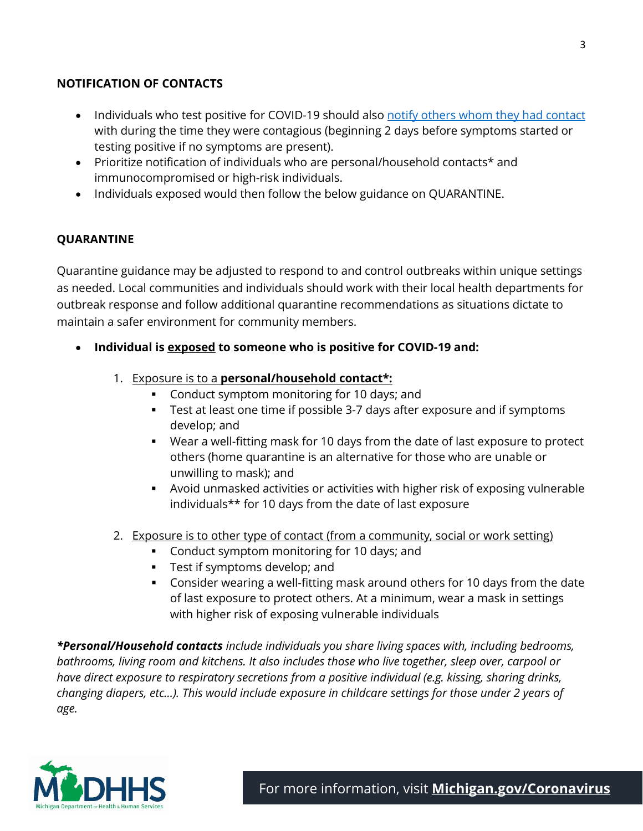### **NOTIFICATION OF CONTACTS**

- Individuals who test positive for COVID-19 should also [notify others whom they had contact](https://www.cdc.gov/coronavirus/2019-ncov/daily-life-coping/tell-your-contacts.html) with during the time they were contagious (beginning 2 days before symptoms started or testing positive if no symptoms are present).
- Prioritize notification of individuals who are personal/household contacts\* and immunocompromised or high-risk individuals.
- Individuals exposed would then follow the below guidance on QUARANTINE.

# **QUARANTINE**

Quarantine guidance may be adjusted to respond to and control outbreaks within unique settings as needed. Local communities and individuals should work with their local health departments for outbreak response and follow additional quarantine recommendations as situations dictate to maintain a safer environment for community members.

- **Individual is exposed to someone who is positive for COVID-19 and:**
	- 1. Exposure is to a **personal/household contact\*:**
		- **Conduct symptom monitoring for 10 days; and**
		- **Test at least one time if possible 3-7 days after exposure and if symptoms** develop; and
		- Wear a well-fitting mask for 10 days from the date of last exposure to protect others (home quarantine is an alternative for those who are unable or unwilling to mask); and
		- Avoid unmasked activities or activities with higher risk of exposing vulnerable individuals\*\* for 10 days from the date of last exposure
	- 2. Exposure is to other type of contact (from a community, social or work setting)
		- **Conduct symptom monitoring for 10 days; and**
		- **Test if symptoms develop; and**
		- Consider wearing a well-fitting mask around others for 10 days from the date of last exposure to protect others. At a minimum, wear a mask in settings with higher risk of exposing vulnerable individuals

*\*Personal/Household contacts include individuals you share living spaces with, including bedrooms, bathrooms, living room and kitchens. It also includes those who live together, sleep over, carpool or have direct exposure to respiratory secretions from a positive individual (e.g. kissing, sharing drinks, changing diapers, etc…). This would include exposure in childcare settings for those under 2 years of age.*